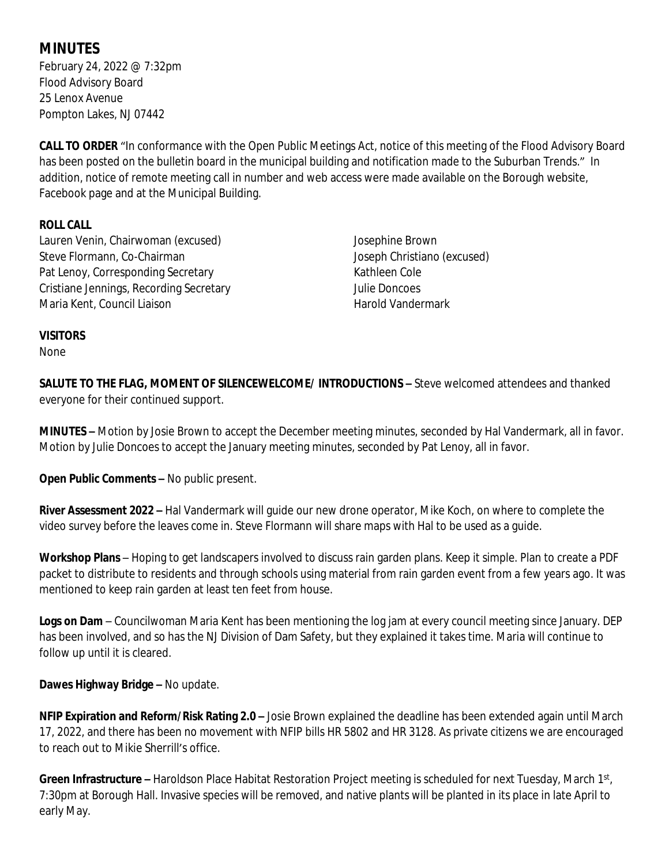# **MINUTES**

February 24, 2022 @ 7:32pm Flood Advisory Board 25 Lenox Avenue Pompton Lakes, NJ 07442

**CALL TO ORDER** "In conformance with the Open Public Meetings Act, notice of this meeting of the Flood Advisory Board has been posted on the bulletin board in the municipal building and notification made to the Suburban Trends." In addition, notice of remote meeting call in number and web access were made available on the Borough website, Facebook page and at the Municipal Building.

## **ROLL CALL**

Lauren Venin, Chairwoman (excused) Steve Flormann, Co-Chairman Pat Lenoy, Corresponding Secretary Cristiane Jennings, Recording Secretary Maria Kent, Council Liaison

Josephine Brown Joseph Christiano (excused) Kathleen Cole Julie Doncoes Harold Vandermark

## **VISITORS**

None

**SALUTE TO THE FLAG, MOMENT OF SILENCEWELCOME/ INTRODUCTIONS –** Steve welcomed attendees and thanked everyone for their continued support.

**MINUTES –** Motion by Josie Brown to accept the December meeting minutes, seconded by Hal Vandermark, all in favor. Motion by Julie Doncoes to accept the January meeting minutes, seconded by Pat Lenoy, all in favor.

**Open Public Comments –** No public present.

**River Assessment 2022 –** Hal Vandermark will guide our new drone operator, Mike Koch, on where to complete the video survey before the leaves come in. Steve Flormann will share maps with Hal to be used as a guide.

**Workshop Plans** – Hoping to get landscapers involved to discuss rain garden plans. Keep it simple. Plan to create a PDF packet to distribute to residents and through schools using material from rain garden event from a few years ago. It was mentioned to keep rain garden at least ten feet from house.

**Logs on Dam** – Councilwoman Maria Kent has been mentioning the log jam at every council meeting since January. DEP has been involved, and so has the NJ Division of Dam Safety, but they explained it takes time. Maria will continue to follow up until it is cleared.

**Dawes Highway Bridge –** No update.

**NFIP Expiration and Reform/Risk Rating 2.0 –** Josie Brown explained the deadline has been extended again until March 17, 2022, and there has been no movement with NFIP bills HR 5802 and HR 3128. As private citizens we are encouraged to reach out to Mikie Sherrill's office.

Green Infrastructure – Haroldson Place Habitat Restoration Project meeting is scheduled for next Tuesday, March 1st, 7:30pm at Borough Hall. Invasive species will be removed, and native plants will be planted in its place in late April to early May.